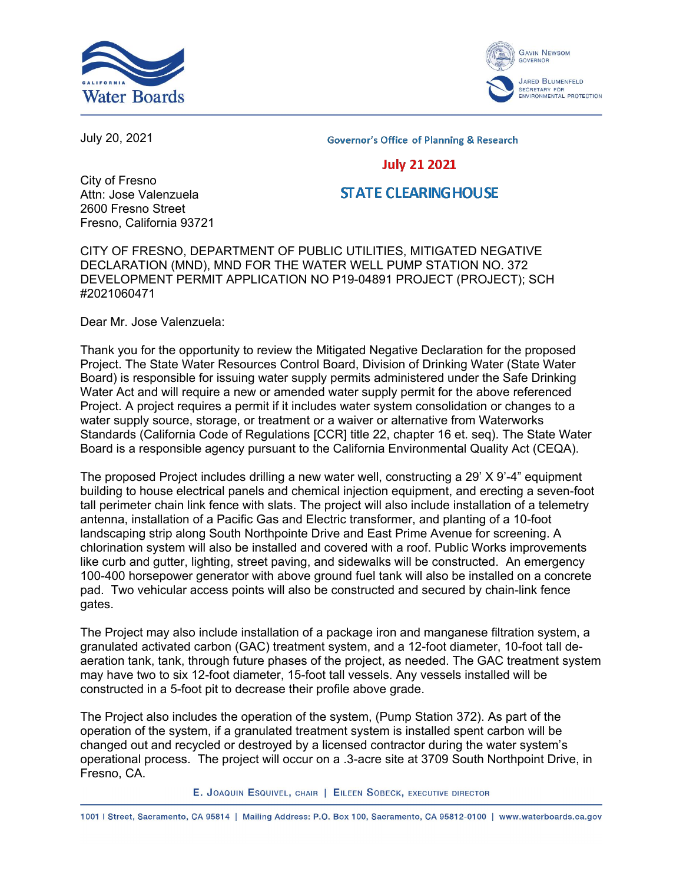



July 20, 2021

**Governor's Office of Planning & Research** 

## **July 21 2021**

City of Fresno Attn: Jose Valenzuela 2600 Fresno Street Fresno, California 93721

## **STATE CLEARING HOUSE**

CITY OF FRESNO, DEPARTMENT OF PUBLIC UTILITIES, MITIGATED NEGATIVE DECLARATION (MND), MND FOR THE WATER WELL PUMP STATION NO. 372 DEVELOPMENT PERMIT APPLICATION NO P19-04891 PROJECT (PROJECT); SCH #2021060471

Dear Mr. Jose Valenzuela:

Thank you for the opportunity to review the Mitigated Negative Declaration for the proposed Project. The State Water Resources Control Board, Division of Drinking Water (State Water Board) is responsible for issuing water supply permits administered under the Safe Drinking Water Act and will require a new or amended water supply permit for the above referenced Project. A project requires a permit if it includes water system consolidation or changes to a water supply source, storage, or treatment or a waiver or alternative from Waterworks Standards (California Code of Regulations [CCR] title 22, chapter 16 et. seq). The State Water Board is a responsible agency pursuant to the California Environmental Quality Act (CEQA).

The proposed Project includes drilling a new water well, constructing a 29' X 9'-4" equipment building to house electrical panels and chemical injection equipment, and erecting a seven-foot tall perimeter chain link fence with slats. The project will also include installation of a telemetry antenna, installation of a Pacific Gas and Electric transformer, and planting of a 10-foot landscaping strip along South Northpointe Drive and East Prime Avenue for screening. A chlorination system will also be installed and covered with a roof. Public Works improvements like curb and gutter, lighting, street paving, and sidewalks will be constructed. An emergency 100-400 horsepower generator with above ground fuel tank will also be installed on a concrete pad. Two vehicular access points will also be constructed and secured by chain-link fence gates.

The Project may also include installation of a package iron and manganese filtration system, a granulated activated carbon (GAC) treatment system, and a 12-foot diameter, 10-foot tall deaeration tank, tank, through future phases of the project, as needed. The GAC treatment system may have two to six 12-foot diameter, 15-foot tall vessels. Any vessels installed will be constructed in a 5-foot pit to decrease their profile above grade.

The Project also includes the operation of the system, (Pump Station 372). As part of the operation of the system, if a granulated treatment system is installed spent carbon will be changed out and recycled or destroyed by a licensed contractor during the water system's operational process. The project will occur on a .3-acre site at 3709 South Northpoint Drive, in Fresno, CA.

E. JOAQUIN ESQUIVEL, CHAIR | EILEEN SOBECK, EXECUTIVE DIRECTOR

1001 | Street, Sacramento, CA 95814 | Mailing Address: P.O. Box 100, Sacramento, CA 95812-0100 | www.waterboards.ca.gov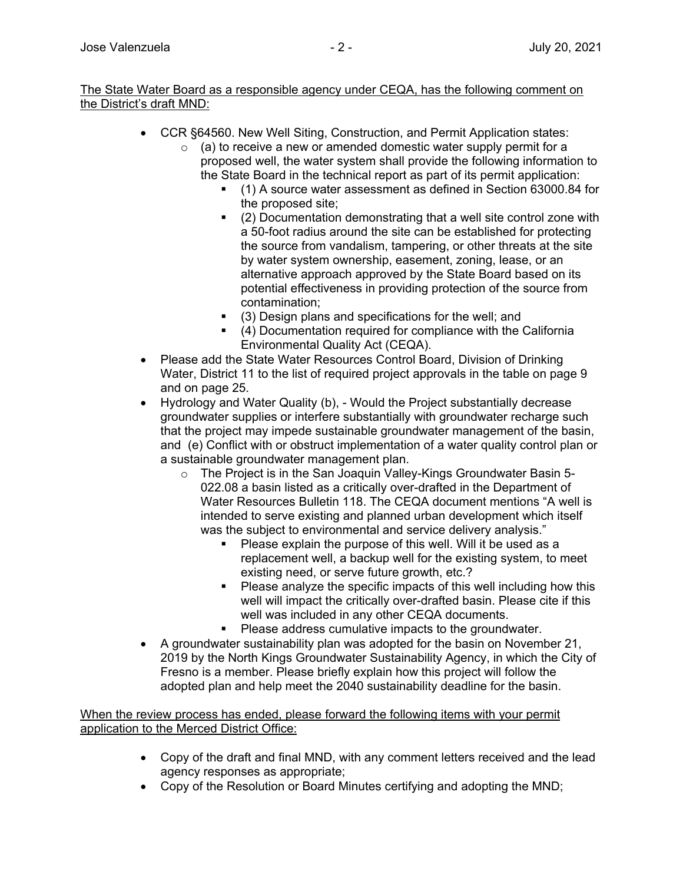## The State Water Board as a responsible agency under CEQA, has the following comment on the District's draft MND:

- · CCR §64560. New Well Siting, Construction, and Permit Application states:
	- $\circ$  (a) to receive a new or amended domestic water supply permit for a proposed well, the water system shall provide the following information to the State Board in the technical report as part of its permit application:
		- § (1) A source water assessment as defined in Section 63000.84 for the proposed site;
		- (2) Documentation demonstrating that a well site control zone with a 50-foot radius around the site can be established for protecting the source from vandalism, tampering, or other threats at the site by water system ownership, easement, zoning, lease, or an alternative approach approved by the State Board based on its potential effectiveness in providing protection of the source from contamination;
		- (3) Design plans and specifications for the well; and
		- § (4) Documentation required for compliance with the California Environmental Quality Act (CEQA).
- · Please add the State Water Resources Control Board, Division of Drinking Water, District 11 to the list of required project approvals in the table on page 9 and on page 25.
- · Hydrology and Water Quality (b), Would the Project substantially decrease groundwater supplies or interfere substantially with groundwater recharge such that the project may impede sustainable groundwater management of the basin, and (e) Conflict with or obstruct implementation of a water quality control plan or a sustainable groundwater management plan.
	- o The Project is in the San Joaquin Valley-Kings Groundwater Basin 5- 022.08 a basin listed as a critically over-drafted in the Department of Water Resources Bulletin 118. The CEQA document mentions "A well is intended to serve existing and planned urban development which itself was the subject to environmental and service delivery analysis."
		- Please explain the purpose of this well. Will it be used as a replacement well, a backup well for the existing system, to meet existing need, or serve future growth, etc.?
		- Please analyze the specific impacts of this well including how this well will impact the critically over-drafted basin. Please cite if this well was included in any other CEQA documents.
		- Please address cumulative impacts to the groundwater.
- · A groundwater sustainability plan was adopted for the basin on November 21, 2019 by the North Kings Groundwater Sustainability Agency, in which the City of Fresno is a member. Please briefly explain how this project will follow the adopted plan and help meet the 2040 sustainability deadline for the basin.

When the review process has ended, please forward the following items with your permit application to the Merced District Office:

- · Copy of the draft and final MND, with any comment letters received and the lead agency responses as appropriate;
- · Copy of the Resolution or Board Minutes certifying and adopting the MND;